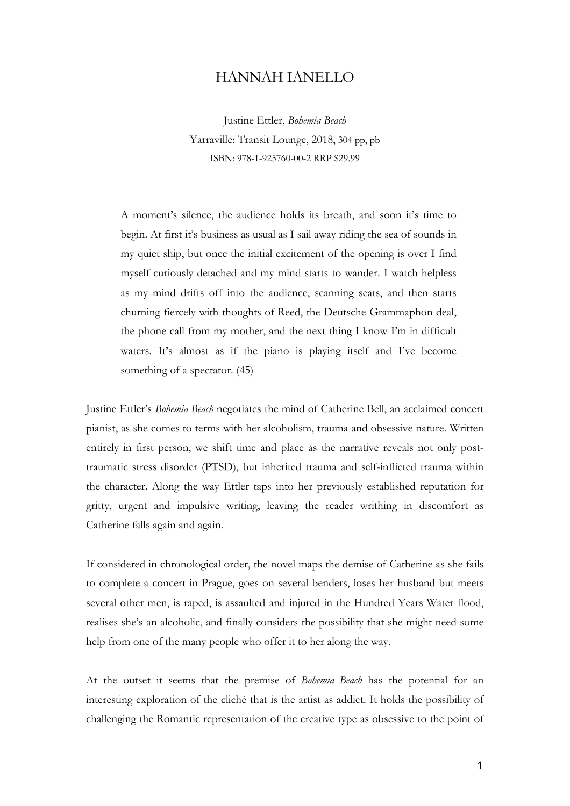## HANNAH IANELLO

Justine Ettler, *Bohemia Beach* Yarraville: Transit Lounge, 2018, 304 pp, pb ISBN: 978-1-925760-00-2 RRP \$29.99

A moment's silence, the audience holds its breath, and soon it's time to begin. At first it's business as usual as I sail away riding the sea of sounds in my quiet ship, but once the initial excitement of the opening is over I find myself curiously detached and my mind starts to wander. I watch helpless as my mind drifts off into the audience, scanning seats, and then starts churning fiercely with thoughts of Reed, the Deutsche Grammaphon deal, the phone call from my mother, and the next thing I know I'm in difficult waters. It's almost as if the piano is playing itself and I've become something of a spectator. (45)

Justine Ettler's *Bohemia Beach* negotiates the mind of Catherine Bell, an acclaimed concert pianist, as she comes to terms with her alcoholism, trauma and obsessive nature. Written entirely in first person, we shift time and place as the narrative reveals not only posttraumatic stress disorder (PTSD), but inherited trauma and self-inflicted trauma within the character. Along the way Ettler taps into her previously established reputation for gritty, urgent and impulsive writing, leaving the reader writhing in discomfort as Catherine falls again and again.

If considered in chronological order, the novel maps the demise of Catherine as she fails to complete a concert in Prague, goes on several benders, loses her husband but meets several other men, is raped, is assaulted and injured in the Hundred Years Water flood, realises she's an alcoholic, and finally considers the possibility that she might need some help from one of the many people who offer it to her along the way.

At the outset it seems that the premise of *Bohemia Beach* has the potential for an interesting exploration of the cliché that is the artist as addict. It holds the possibility of challenging the Romantic representation of the creative type as obsessive to the point of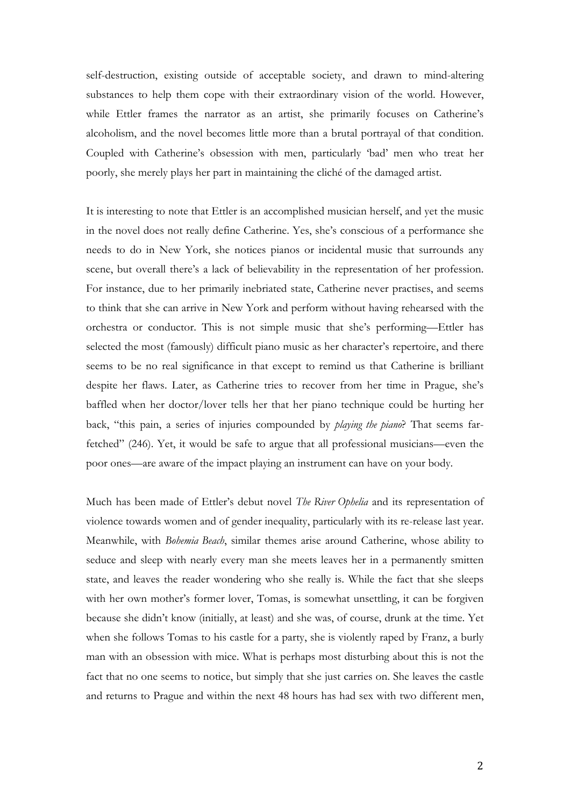self-destruction, existing outside of acceptable society, and drawn to mind-altering substances to help them cope with their extraordinary vision of the world. However, while Ettler frames the narrator as an artist, she primarily focuses on Catherine's alcoholism, and the novel becomes little more than a brutal portrayal of that condition. Coupled with Catherine's obsession with men, particularly 'bad' men who treat her poorly, she merely plays her part in maintaining the cliché of the damaged artist.

It is interesting to note that Ettler is an accomplished musician herself, and yet the music in the novel does not really define Catherine. Yes, she's conscious of a performance she needs to do in New York, she notices pianos or incidental music that surrounds any scene, but overall there's a lack of believability in the representation of her profession. For instance, due to her primarily inebriated state, Catherine never practises, and seems to think that she can arrive in New York and perform without having rehearsed with the orchestra or conductor. This is not simple music that she's performing—Ettler has selected the most (famously) difficult piano music as her character's repertoire, and there seems to be no real significance in that except to remind us that Catherine is brilliant despite her flaws. Later, as Catherine tries to recover from her time in Prague, she's baffled when her doctor/lover tells her that her piano technique could be hurting her back, "this pain, a series of injuries compounded by *playing the piano*? That seems farfetched" (246). Yet, it would be safe to argue that all professional musicians—even the poor ones—are aware of the impact playing an instrument can have on your body.

Much has been made of Ettler's debut novel *The River Ophelia* and its representation of violence towards women and of gender inequality, particularly with its re-release last year. Meanwhile, with *Bohemia Beach*, similar themes arise around Catherine, whose ability to seduce and sleep with nearly every man she meets leaves her in a permanently smitten state, and leaves the reader wondering who she really is. While the fact that she sleeps with her own mother's former lover, Tomas, is somewhat unsettling, it can be forgiven because she didn't know (initially, at least) and she was, of course, drunk at the time. Yet when she follows Tomas to his castle for a party, she is violently raped by Franz, a burly man with an obsession with mice. What is perhaps most disturbing about this is not the fact that no one seems to notice, but simply that she just carries on. She leaves the castle and returns to Prague and within the next 48 hours has had sex with two different men,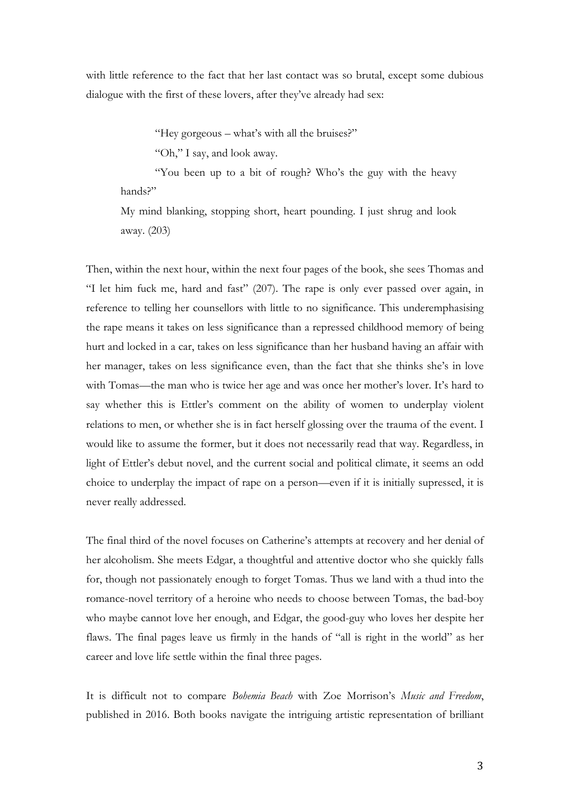with little reference to the fact that her last contact was so brutal, except some dubious dialogue with the first of these lovers, after they've already had sex:

"Hey gorgeous – what's with all the bruises?"

"Oh," I say, and look away.

"You been up to a bit of rough? Who's the guy with the heavy hands?"

My mind blanking, stopping short, heart pounding. I just shrug and look away. (203)

Then, within the next hour, within the next four pages of the book, she sees Thomas and "I let him fuck me, hard and fast" (207). The rape is only ever passed over again, in reference to telling her counsellors with little to no significance. This underemphasising the rape means it takes on less significance than a repressed childhood memory of being hurt and locked in a car, takes on less significance than her husband having an affair with her manager, takes on less significance even, than the fact that she thinks she's in love with Tomas—the man who is twice her age and was once her mother's lover. It's hard to say whether this is Ettler's comment on the ability of women to underplay violent relations to men, or whether she is in fact herself glossing over the trauma of the event. I would like to assume the former, but it does not necessarily read that way. Regardless, in light of Ettler's debut novel, and the current social and political climate, it seems an odd choice to underplay the impact of rape on a person—even if it is initially supressed, it is never really addressed.

The final third of the novel focuses on Catherine's attempts at recovery and her denial of her alcoholism. She meets Edgar, a thoughtful and attentive doctor who she quickly falls for, though not passionately enough to forget Tomas. Thus we land with a thud into the romance-novel territory of a heroine who needs to choose between Tomas, the bad-boy who maybe cannot love her enough, and Edgar, the good-guy who loves her despite her flaws. The final pages leave us firmly in the hands of "all is right in the world" as her career and love life settle within the final three pages.

It is difficult not to compare *Bohemia Beach* with Zoe Morrison's *Music and Freedom*, published in 2016. Both books navigate the intriguing artistic representation of brilliant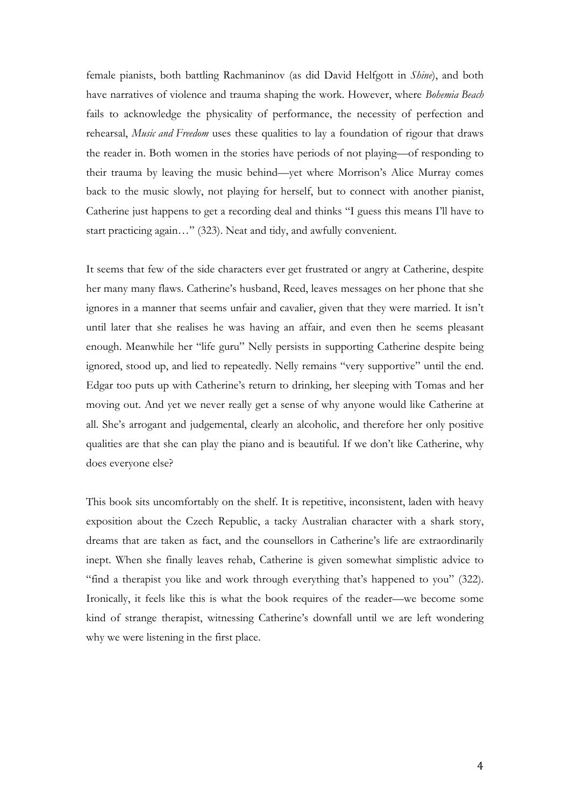female pianists, both battling Rachmaninov (as did David Helfgott in *Shine*), and both have narratives of violence and trauma shaping the work. However, where *Bohemia Beach* fails to acknowledge the physicality of performance, the necessity of perfection and rehearsal, *Music and Freedom* uses these qualities to lay a foundation of rigour that draws the reader in. Both women in the stories have periods of not playing—of responding to their trauma by leaving the music behind—yet where Morrison's Alice Murray comes back to the music slowly, not playing for herself, but to connect with another pianist, Catherine just happens to get a recording deal and thinks "I guess this means I'll have to start practicing again…" (323). Neat and tidy, and awfully convenient.

It seems that few of the side characters ever get frustrated or angry at Catherine, despite her many many flaws. Catherine's husband, Reed, leaves messages on her phone that she ignores in a manner that seems unfair and cavalier, given that they were married. It isn't until later that she realises he was having an affair, and even then he seems pleasant enough. Meanwhile her "life guru" Nelly persists in supporting Catherine despite being ignored, stood up, and lied to repeatedly. Nelly remains "very supportive" until the end. Edgar too puts up with Catherine's return to drinking, her sleeping with Tomas and her moving out. And yet we never really get a sense of why anyone would like Catherine at all. She's arrogant and judgemental, clearly an alcoholic, and therefore her only positive qualities are that she can play the piano and is beautiful. If we don't like Catherine, why does everyone else?

This book sits uncomfortably on the shelf. It is repetitive, inconsistent, laden with heavy exposition about the Czech Republic, a tacky Australian character with a shark story, dreams that are taken as fact, and the counsellors in Catherine's life are extraordinarily inept. When she finally leaves rehab, Catherine is given somewhat simplistic advice to "find a therapist you like and work through everything that's happened to you" (322). Ironically, it feels like this is what the book requires of the reader—we become some kind of strange therapist, witnessing Catherine's downfall until we are left wondering why we were listening in the first place.